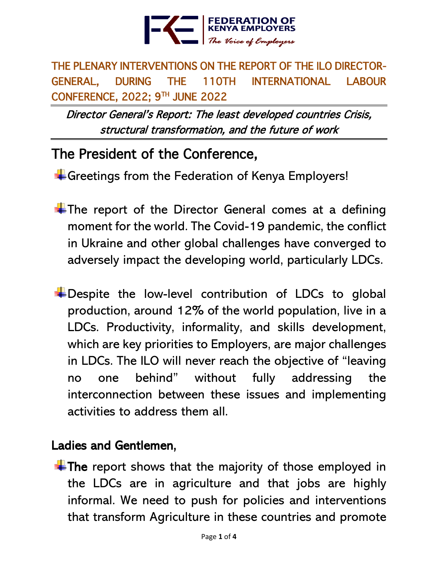

THE PLENARY INTERVENTIONS ON THE REPORT OF THE ILO DIRECTOR-GENERAL, DURING THE 110TH INTERNATIONAL LABOUR CONFERENCE, 2022; 9TH JUNE 2022

Director General's Report: The least developed countries Crisis, structural transformation, and the future of work

# The President of the Conference,

 $\pm$  Greetings from the Federation of Kenya Employers!

- $\pm$ The report of the Director General comes at a defining moment for the world. The Covid-19 pandemic, the conflict in Ukraine and other global challenges have converged to adversely impact the developing world, particularly LDCs.
- $\pm$  Despite the low-level contribution of LDCs to global production, around 12% of the world population, live in a LDCs. Productivity, informality, and skills development, which are key priorities to Employers, are major challenges in LDCs. The ILO will never reach the objective of "leaving no one behind" without fully addressing the interconnection between these issues and implementing activities to address them all.

#### Ladies and Gentlemen,

 $\ddot{\bullet}$  The report shows that the majority of those employed in the LDCs are in agriculture and that jobs are highly informal. We need to push for policies and interventions that transform Agriculture in these countries and promote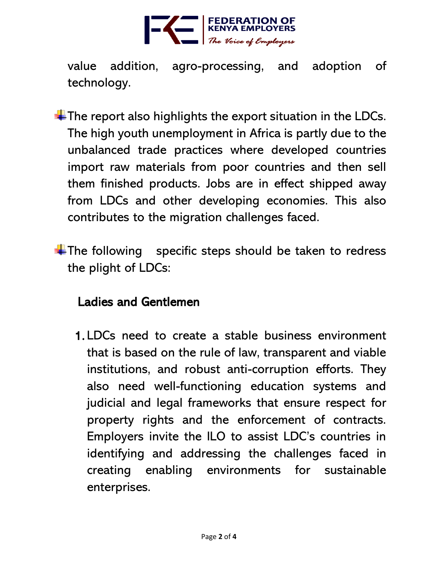

value addition, agro-processing, and adoption of technology.

- $\pm$  The report also highlights the export situation in the LDCs. The high youth unemployment in Africa is partly due to the unbalanced trade practices where developed countries import raw materials from poor countries and then sell them finished products. Jobs are in effect shipped away from LDCs and other developing economies. This also contributes to the migration challenges faced.
- $\pm$ The following specific steps should be taken to redress the plight of LDCs:

#### Ladies and Gentlemen

1. LDCs need to create a stable business environment that is based on the rule of law, transparent and viable institutions, and robust anti-corruption efforts. They also need well-functioning education systems and judicial and legal frameworks that ensure respect for property rights and the enforcement of contracts. Employers invite the ILO to assist LDC's countries in identifying and addressing the challenges faced in creating enabling environments for sustainable enterprises.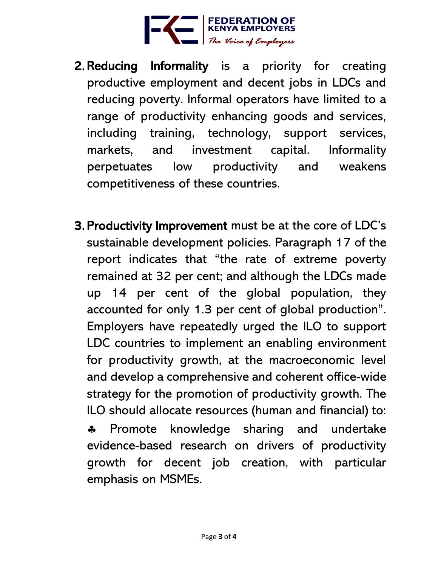

- 2. Reducing Informality is a priority for creating productive employment and decent jobs in LDCs and reducing poverty. Informal operators have limited to a range of productivity enhancing goods and services, including training, technology, support services, markets, and investment capital. Informality perpetuates low productivity and weakens competitiveness of these countries.
- 3. Productivity Improvement must be at the core of LDC's sustainable development policies. Paragraph 17 of the report indicates that "the rate of extreme poverty remained at 32 per cent; and although the LDCs made up 14 per cent of the global population, they accounted for only 1.3 per cent of global production". Employers have repeatedly urged the ILO to support LDC countries to implement an enabling environment for productivity growth, at the macroeconomic level and develop a comprehensive and coherent office-wide strategy for the promotion of productivity growth. The ILO should allocate resources (human and financial) to: \* Promote knowledge sharing and undertake evidence-based research on drivers of productivity growth for decent job creation, with particular emphasis on MSMEs.